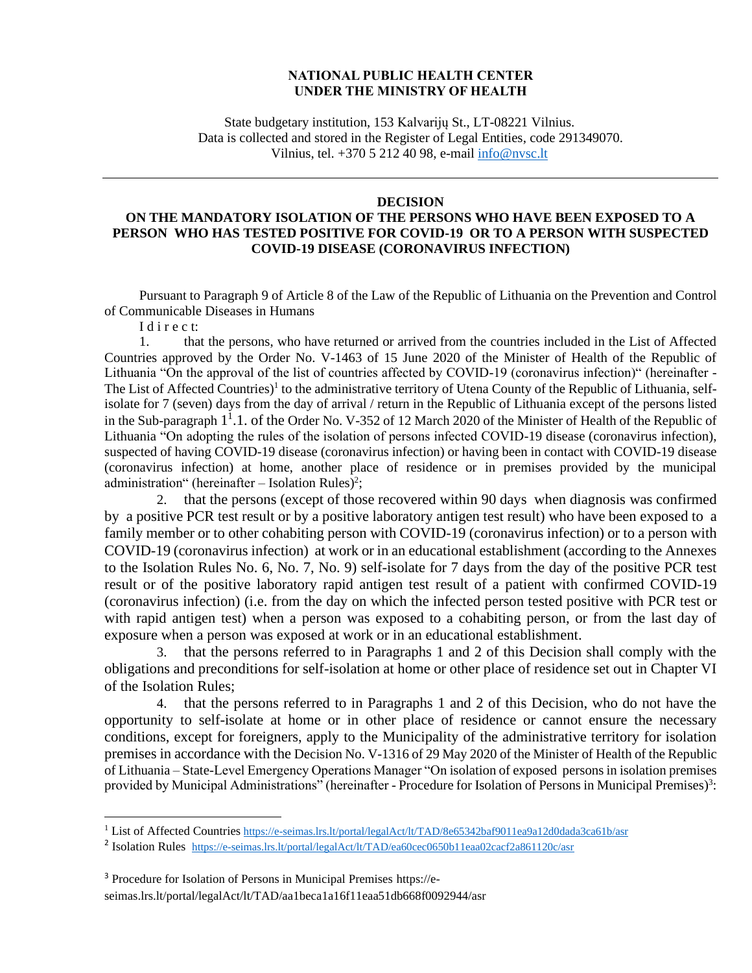## **NATIONAL PUBLIC HEALTH CENTER UNDER THE MINISTRY OF HEALTH**

State budgetary institution, 153 Kalvarijų St., LT-08221 Vilnius. Data is collected and stored in the Register of Legal Entities, code 291349070. Vilnius, tel. +370 5 212 40 98, e-mail [info@nvsc.lt](mailto:info@nvsc.lt)

## **DECISION**

## **ON THE MANDATORY ISOLATION OF THE PERSONS WHO HAVE BEEN EXPOSED TO A PERSON WHO HAS TESTED POSITIVE FOR COVID-19 OR TO A PERSON WITH SUSPECTED COVID-19 DISEASE (CORONAVIRUS INFECTION)**

Pursuant to Paragraph 9 of Article 8 of the Law of the Republic of Lithuania on the Prevention and Control of Communicable Diseases in Humans

I d i r e c t:

1. that the persons, who have returned or arrived from the countries included in the List of Affected Countries approved by the Order No. V-1463 of 15 June 2020 of the Minister of Health of the Republic of Lithuania "On the approval of the list of countries affected by COVID-19 (coronavirus infection)" (hereinafter - The List of Affected Countries)<sup>1</sup> to the administrative territory of Utena County of the Republic of Lithuania, selfisolate for 7 (seven) days from the day of arrival / return in the Republic of Lithuania except of the persons listed in the Sub-paragraph  $1^1.1$ . of the Order No. V-352 of 12 March 2020 of the Minister of Health of the Republic of Lithuania "On adopting the rules of the isolation of persons infected COVID-19 disease (coronavirus infection), suspected of having COVID-19 disease (coronavirus infection) or having been in contact with COVID-19 disease (coronavirus infection) at home, another place of residence or in premises provided by the municipal administration" (hereinafter  $-$  Isolation Rules)<sup>2</sup>;

2. that the persons (except of those recovered within 90 days when diagnosis was confirmed by a positive PCR test result or by a positive laboratory antigen test result) who have been exposed to a family member or to other cohabiting person with COVID-19 (coronavirus infection) or to a person with COVID-19 (coronavirus infection) at work or in an educational establishment (according to the Annexes to the Isolation Rules No. 6, No. 7, No. 9) self-isolate for 7 days from the day of the positive PCR test result or of the positive laboratory rapid antigen test result of a patient with confirmed COVID-19 (coronavirus infection) (i.e. from the day on which the infected person tested positive with PCR test or with rapid antigen test) when a person was exposed to a cohabiting person, or from the last day of exposure when a person was exposed at work or in an educational establishment.

3. that the persons referred to in Paragraphs 1 and 2 of this Decision shall comply with the obligations and preconditions for self-isolation at home or other place of residence set out in Chapter VI of the Isolation Rules;

4. that the persons referred to in Paragraphs 1 and 2 of this Decision, who do not have the opportunity to self-isolate at home or in other place of residence or cannot ensure the necessary conditions, except for foreigners, apply to the Municipality of the administrative territory for isolation premises in accordance with the Decision No. V-1316 of 29 May 2020 of the Minister of Health of the Republic of Lithuania – State-Level Emergency Operations Manager "On isolation of exposed persons in isolation premises provided by Municipal Administrations" (hereinafter - Procedure for Isolation of Persons in Municipal Premises)<sup>3</sup>:

<sup>&</sup>lt;sup>1</sup> List of Affected Countries <https://e-seimas.lrs.lt/portal/legalAct/lt/TAD/8e65342baf9011ea9a12d0dada3ca61b/asr>

<sup>&</sup>lt;sup>2</sup> Isolation Rules <https://e-seimas.lrs.lt/portal/legalAct/lt/TAD/ea60cec0650b11eaa02cacf2a861120c/asr>

<sup>3</sup> Procedure for Isolation of Persons in Municipal Premises https://eseimas.lrs.lt/portal/legalAct/lt/TAD/aa1beca1a16f11eaa51db668f0092944/asr